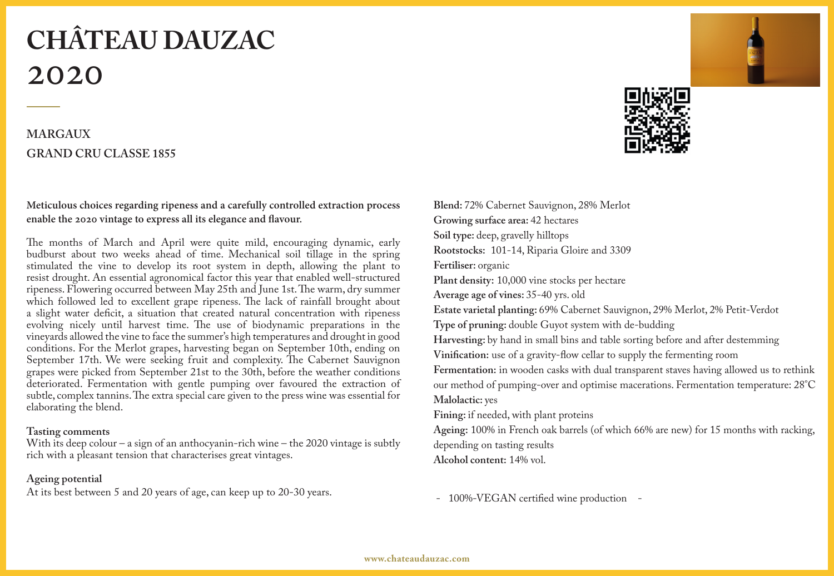# **CHÂTEAU DAUZAC** 2020

## **MARGAUX GRAND CRU CLASSE 1855**

### **Meticulous choices regarding ripeness and a carefully controlled extraction process enable the 2020 vintage to express all its elegance and flavour.**

The months of March and April were quite mild, encouraging dynamic, early budburst about two weeks ahead of time. Mechanical soil tillage in the spring stimulated the vine to develop its root system in depth, allowing the plant to resist drought. An essential agronomical factor this year that enabled well-structured ripeness. Flowering occurred between May 25th and June 1st. The warm, dry summer which followed led to excellent grape ripeness. The lack of rainfall brought about a slight water deficit, a situation that created natural concentration with ripeness evolving nicely until harvest time. The use of biodynamic preparations in the vineyards allowed the vine to face the summer's high temperatures and drought in good conditions. For the Merlot grapes, harvesting began on September 10th, ending on September 17th. We were seeking fruit and complexity. The Cabernet Sauvignon grapes were picked from September 21st to the 30th, before the weather conditions deteriorated. Fermentation with gentle pumping over favoured the extraction of subtle, complex tannins. The extra special care given to the press wine was essential for elaborating the blend.

#### **Tasting comments**

With its deep colour – a sign of an anthocyanin-rich wine – the 2020 vintage is subtly rich with a pleasant tension that characterises great vintages.

### **Ageing potential**

At its best between 5 and 20 years of age, can keep up to 20-30 years.



**Blend:** 72% Cabernet Sauvignon, 28% Merlot **Growing surface area:** 42 hectares **Soil type:** deep, gravelly hilltops **Rootstocks:** 101-14, Riparia Gloire and 3309 **Fertiliser:** organic **Plant density:** 10,000 vine stocks per hectare **Average age of vines:** 35-40 yrs. old **Estate varietal planting:** 69% Cabernet Sauvignon, 29% Merlot, 2% Petit-Verdot **Type of pruning:** double Guyot system with de-budding **Harvesting:** by hand in small bins and table sorting before and after destemming **Vinification:** use of a gravity-flow cellar to supply the fermenting room **Fermentation:** in wooden casks with dual transparent staves having allowed us to rethink our method of pumping-over and optimise macerations. Fermentation temperature: 28°C **Malolactic:** yes **Fining:** if needed, with plant proteins **Ageing:** 100% in French oak barrels (of which 66% are new) for 15 months with racking, depending on tasting results **Alcohol content:** 14% vol.

- 100%-VEGAN certified wine production -